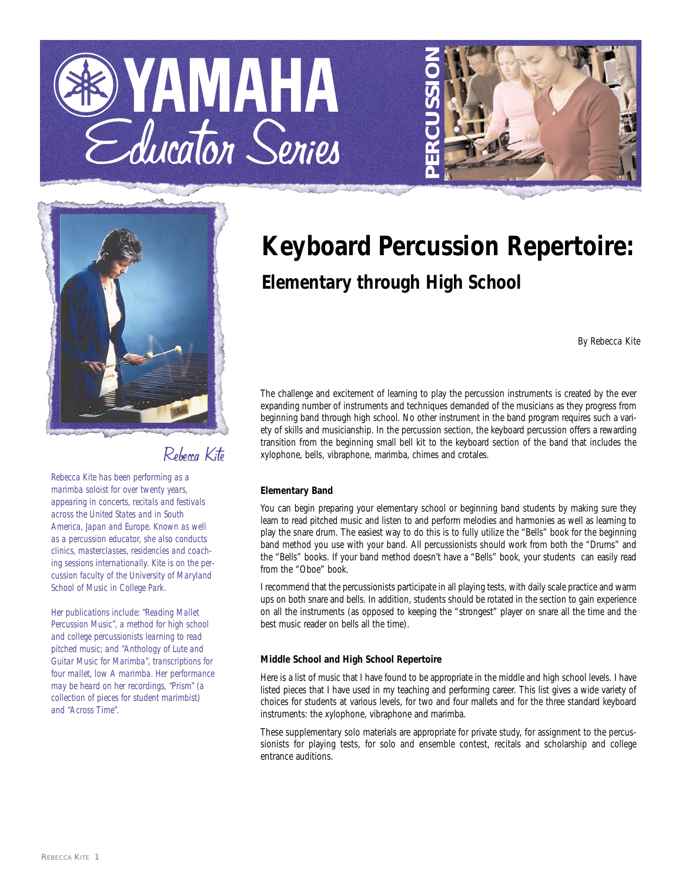





Rebecca Kite

*Rebecca Kite has been performing as a marimba soloist for over twenty years, appearing in concerts, recitals and festivals across the United States and in South America, Japan and Europe. Known as well as a percussion educator, she also conducts clinics, masterclasses, residencies and coaching sessions internationally. Kite is on the percussion faculty of the University of Maryland School of Music in College Park.*

*Her publications include: "Reading Mallet Percussion Music", a method for high school and college percussionists learning to read pitched music; and "Anthology of Lute and Guitar Music for Marimba", transcriptions for four mallet, low A marimba. Her performance may be heard on her recordings, "Prism" (a collection of pieces for student marimbist) and "Across Time".* 

# **Keyboard Percussion Repertoire: Elementary through High School**

*By Rebecca Kite*

The challenge and excitement of learning to play the percussion instruments is created by the ever expanding number of instruments and techniques demanded of the musicians as they progress from beginning band through high school. No other instrument in the band program requires such a variety of skills and musicianship. In the percussion section, the keyboard percussion offers a rewarding transition from the beginning small bell kit to the keyboard section of the band that includes the xylophone, bells, vibraphone, marimba, chimes and crotales.

### **Elementary Band**

You can begin preparing your elementary school or beginning band students by making sure they learn to read pitched music and listen to and perform melodies and harmonies as well as learning to play the snare drum. The easiest way to do this is to fully utilize the "Bells" book for the beginning band method you use with your band. All percussionists should work from both the "Drums" and the "Bells" books. If your band method doesn't have a "Bells" book, your students can easily read from the "Oboe" book.

I recommend that the percussionists participate in all playing tests, with daily scale practice and warm ups on both snare and bells. In addition, students should be rotated in the section to gain experience on all the instruments (as opposed to keeping the "strongest" player on snare all the time and the best music reader on bells all the time).

### **Middle School and High School Repertoire**

Here is a list of music that I have found to be appropriate in the middle and high school levels. I have listed pieces that I have used in my teaching and performing career. This list gives a wide variety of choices for students at various levels, for two and four mallets and for the three standard keyboard instruments: the xylophone, vibraphone and marimba.

These supplementary solo materials are appropriate for private study, for assignment to the percussionists for playing tests, for solo and ensemble contest, recitals and scholarship and college entrance auditions.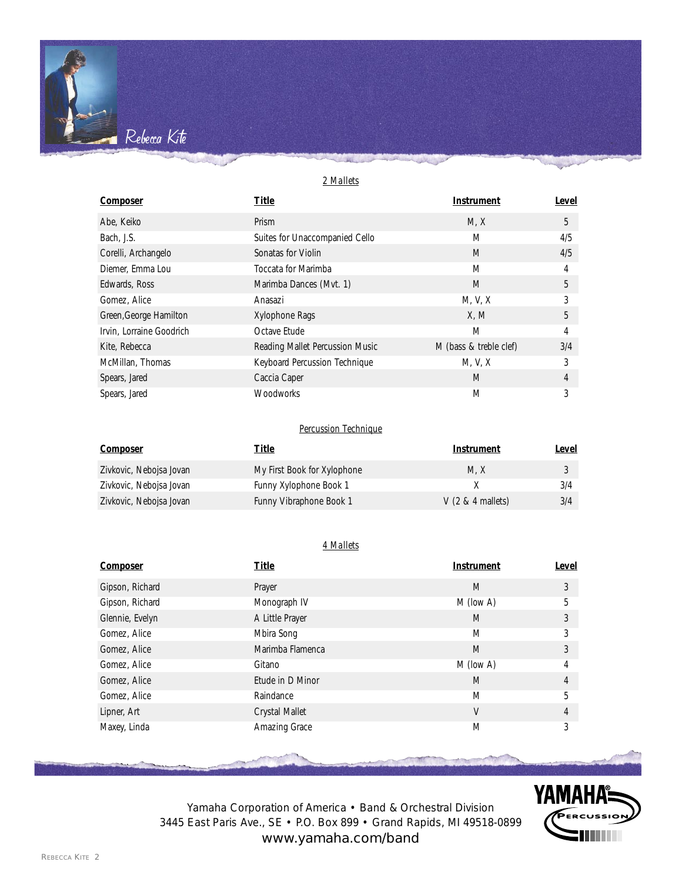# *2 Mallets*

Rebecca Kite

| <b>Composer</b>          | <b>Title</b>                    | <b>Instrument</b>      | Level |
|--------------------------|---------------------------------|------------------------|-------|
| Abe, Keiko               | Prism                           | M, X                   | 5     |
| Bach, J.S.               | Suites for Unaccompanied Cello  | M                      | 4/5   |
| Corelli, Archangelo      | Sonatas for Violin              | M                      | 4/5   |
| Diemer, Emma Lou         | Toccata for Marimba             | M                      | 4     |
| Edwards, Ross            | Marimba Dances (Mvt. 1)         | M                      | 5     |
| Gomez, Alice             | Anasazi                         | M, V, X                | 3     |
| Green, George Hamilton   | Xylophone Rags                  | X, M                   | 5     |
| Irvin, Lorraine Goodrich | Octave Etude                    | M                      | 4     |
| Kite, Rebecca            | Reading Mallet Percussion Music | M (bass & treble clef) | 3/4   |
| McMillan, Thomas         | Keyboard Percussion Technique   | M, V, X                | 3     |
| Spears, Jared            | Caccia Caper                    | M                      | 4     |
| Spears, Jared            | <b>Woodworks</b>                | M                      | 3     |

# *Percussion Technique*

| Composer                | Title                       | Instrument          | Level |
|-------------------------|-----------------------------|---------------------|-------|
| Zivkovic, Nebojsa Jovan | My First Book for Xylophone | M.X                 |       |
| Zivkovic, Nebojsa Jovan | Funny Xylophone Book 1      |                     | 3/4   |
| Zivkovic, Nebojsa Jovan | Funny Vibraphone Book 1     | $V$ (2 & 4 mallets) | 3/4   |

# *4 Mallets*

| <b>Composer</b> | <b>Title</b>     | <b>Instrument</b> | <b>Level</b> |
|-----------------|------------------|-------------------|--------------|
| Gipson, Richard | Prayer           | M                 | 3            |
| Gipson, Richard | Monograph IV     | M (low A)         | 5            |
| Glennie, Evelyn | A Little Prayer  | M                 | 3            |
| Gomez, Alice    | Mbira Song       | M                 | 3            |
| Gomez, Alice    | Marimba Flamenca | M                 | 3            |
| Gomez, Alice    | Gitano           | M (low A)         | 4            |
| Gomez, Alice    | Etude in D Minor | M                 | 4            |
| Gomez, Alice    | Raindance        | M                 | 5            |
| Lipner, Art     | Crystal Mallet   | V                 | 4            |
| Maxey, Linda    | Amazing Grace    | M                 | 3            |



Yamaha Corporation of America • Band & Orchestral Division 3445 East Paris Ave., SE • P.O. Box 899 • Grand Rapids, MI 49518-0899 www.yamaha.com/band